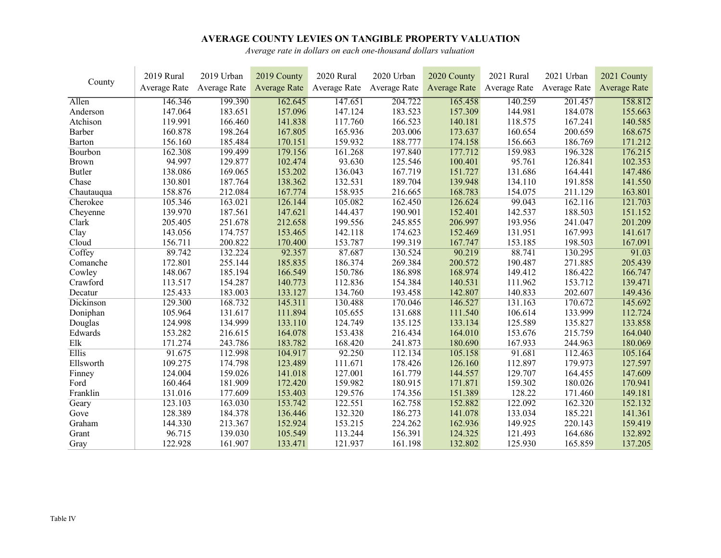## AVERAGE COUNTY LEVIES ON TANGIBLE PROPERTY VALUATION

Average rate in dollars on each one-thousand dollars valuation

| County           | 2019 Rural   | 2019 Urban   | 2019 County         | 2020 Rural   | 2020 Urban   | 2020 County         | 2021 Rural   | 2021 Urban   | 2021 County         |
|------------------|--------------|--------------|---------------------|--------------|--------------|---------------------|--------------|--------------|---------------------|
|                  | Average Rate | Average Rate | <b>Average Rate</b> | Average Rate | Average Rate | <b>Average Rate</b> | Average Rate | Average Rate | <b>Average Rate</b> |
| Allen            | 146.346      | 199.390      | 162.645             | 147.651      | 204.722      | 165.458             | 140.259      | 201.457      | 158.812             |
| Anderson         | 147.064      | 183.651      | 157.096             | 147.124      | 183.523      | 157.309             | 144.981      | 184.078      | 155.663             |
| Atchison         | 119.991      | 166.460      | 141.838             | 117.760      | 166.523      | 140.181             | 118.575      | 167.241      | 140.585             |
| Barber           | 160.878      | 198.264      | 167.805             | 165.936      | 203.006      | 173.637             | 160.654      | 200.659      | 168.675             |
| Barton           | 156.160      | 185.484      | 170.151             | 159.932      | 188.777      | 174.158             | 156.663      | 186.769      | 171.212             |
| Bourbon          | 162.308      | 199.499      | 179.156             | 161.268      | 197.840      | 177.712             | 159.983      | 196.328      | 176.215             |
| <b>Brown</b>     | 94.997       | 129.877      | 102.474             | 93.630       | 125.546      | 100.401             | 95.761       | 126.841      | 102.353             |
| <b>Butler</b>    | 138.086      | 169.065      | 153.202             | 136.043      | 167.719      | 151.727             | 131.686      | 164.441      | 147.486             |
| Chase            | 130.801      | 187.764      | 138.362             | 132.531      | 189.704      | 139.948             | 134.110      | 191.858      | 141.550             |
| Chautauqua       | 158.876      | 212.084      | 167.774             | 158.935      | 216.665      | 168.783             | 154.075      | 211.129      | 163.801             |
| Cherokee         | 105.346      | 163.021      | 126.144             | 105.082      | 162.450      | 126.624             | 99.043       | 162.116      | 121.703             |
| Cheyenne         | 139.970      | 187.561      | 147.621             | 144.437      | 190.901      | 152.401             | 142.537      | 188.503      | 151.152             |
| Clark            | 205.405      | 251.678      | 212.658             | 199.556      | 245.855      | 206.997             | 193.956      | 241.047      | 201.209             |
| Clay             | 143.056      | 174.757      | 153.465             | 142.118      | 174.623      | 152.469             | 131.951      | 167.993      | 141.617             |
| Cloud            | 156.711      | 200.822      | 170.400             | 153.787      | 199.319      | 167.747             | 153.185      | 198.503      | 167.091             |
| Coffey           | 89.742       | 132.224      | 92.357              | 87.687       | 130.524      | 90.219              | 88.741       | 130.295      | 91.03               |
| Comanche         | 172.801      | 255.144      | 185.835             | 186.374      | 269.384      | 200.572             | 190.487      | 271.885      | 205.439             |
| Cowley           | 148.067      | 185.194      | 166.549             | 150.786      | 186.898      | 168.974             | 149.412      | 186.422      | 166.747             |
| Crawford         | 113.517      | 154.287      | 140.773             | 112.836      | 154.384      | 140.531             | 111.962      | 153.712      | 139.471             |
| Decatur          | 125.433      | 183.003      | 133.127             | 134.760      | 193.458      | 142.807             | 140.833      | 202.607      | 149.436             |
| <b>Dickinson</b> | 129.300      | 168.732      | 145.311             | 130.488      | 170.046      | 146.527             | 131.163      | 170.672      | 145.692             |
| Doniphan         | 105.964      | 131.617      | 111.894             | 105.655      | 131.688      | 111.540             | 106.614      | 133.999      | 112.724             |
| Douglas          | 124.998      | 134.999      | 133.110             | 124.749      | 135.125      | 133.134             | 125.589      | 135.827      | 133.858             |
| Edwards          | 153.282      | 216.615      | 164.078             | 153.438      | 216.434      | 164.010             | 153.676      | 215.759      | 164.040             |
| Elk              | 171.274      | 243.786      | 183.782             | 168.420      | 241.873      | 180.690             | 167.933      | 244.963      | 180.069             |
| Ellis            | 91.675       | 112.998      | 104.917             | 92.250       | 112.134      | 105.158             | 91.681       | 112.463      | 105.164             |
| Ellsworth        | 109.275      | 174.798      | 123.489             | 111.671      | 178.426      | 126.160             | 112.897      | 179.973      | 127.597             |
| Finney           | 124.004      | 159.026      | 141.018             | 127.001      | 161.779      | 144.557             | 129.707      | 164.455      | 147.609             |
| Ford             | 160.464      | 181.909      | 172.420             | 159.982      | 180.915      | 171.871             | 159.302      | 180.026      | 170.941             |
| Franklin         | 131.016      | 177.609      | 153.403             | 129.576      | 174.356      | 151.389             | 128.22       | 171.460      | 149.181             |
| Geary            | 123.103      | 163.030      | 153.742             | 122.551      | 162.758      | 152.882             | 122.092      | 162.320      | 152.132             |
| Gove             | 128.389      | 184.378      | 136.446             | 132.320      | 186.273      | 141.078             | 133.034      | 185.221      | 141.361             |
| Graham           | 144.330      | 213.367      | 152.924             | 153.215      | 224.262      | 162.936             | 149.925      | 220.143      | 159.419             |
| Grant            | 96.715       | 139.030      | 105.549             | 113.244      | 156.391      | 124.325             | 121.493      | 164.686      | 132.892             |
| Gray             | 122.928      | 161.907      | 133.471             | 121.937      | 161.198      | 132.802             | 125.930      | 165.859      | 137.205             |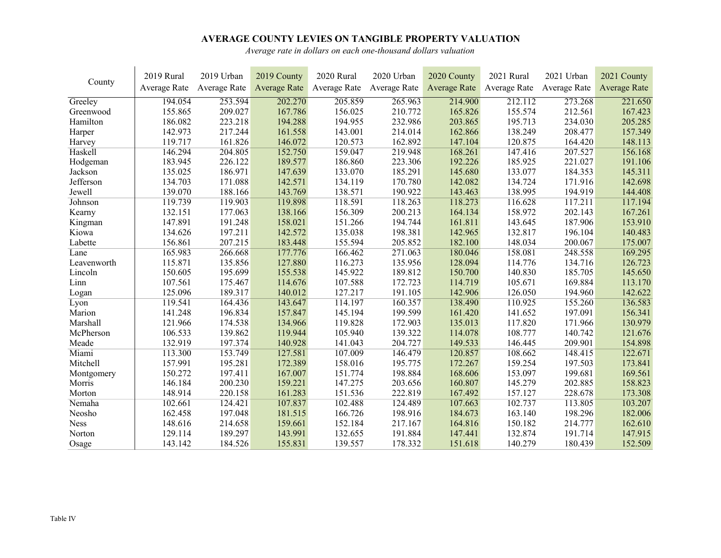## AVERAGE COUNTY LEVIES ON TANGIBLE PROPERTY VALUATION

Average rate in dollars on each one-thousand dollars valuation

| County      | 2019 Rural   | 2019 Urban   | 2019 County         | 2020 Rural   | 2020 Urban   | 2020 County         | 2021 Rural   | 2021 Urban   | 2021 County         |
|-------------|--------------|--------------|---------------------|--------------|--------------|---------------------|--------------|--------------|---------------------|
|             | Average Rate | Average Rate | <b>Average Rate</b> | Average Rate | Average Rate | <b>Average Rate</b> | Average Rate | Average Rate | <b>Average Rate</b> |
| Greeley     | 194.054      | 253.594      | 202.270             | 205.859      | 265.963      | 214.900             | 212.112      | 273.268      | 221.650             |
| Greenwood   | 155.865      | 209.027      | 167.786             | 156.025      | 210.772      | 165.826             | 155.574      | 212.561      | 167.423             |
| Hamilton    | 186.082      | 223.218      | 194.288             | 194.955      | 232.986      | 203.865             | 195.713      | 234.030      | 205.285             |
| Harper      | 142.973      | 217.244      | 161.558             | 143.001      | 214.014      | 162.866             | 138.249      | 208.477      | 157.349             |
| Harvey      | 119.717      | 161.826      | 146.072             | 120.573      | 162.892      | 147.104             | 120.875      | 164.420      | 148.113             |
| Haskell     | 146.294      | 204.805      | 152.750             | 159.047      | 219.948      | 168.261             | 147.416      | 207.527      | 156.168             |
| Hodgeman    | 183.945      | 226.122      | 189.577             | 186.860      | 223.306      | 192.226             | 185.925      | 221.027      | 191.106             |
| Jackson     | 135.025      | 186.971      | 147.639             | 133.070      | 185.291      | 145.680             | 133.077      | 184.353      | 145.311             |
| Jefferson   | 134.703      | 171.088      | 142.571             | 134.119      | 170.780      | 142.082             | 134.724      | 171.916      | 142.698             |
| Jewell      | 139.070      | 188.166      | 143.769             | 138.571      | 190.922      | 143.463             | 138.995      | 194.919      | 144.408             |
| Johnson     | 119.739      | 119.903      | 119.898             | 118.591      | 118.263      | 118.273             | 116.628      | 117.211      | 117.194             |
| Kearny      | 132.151      | 177.063      | 138.166             | 156.309      | 200.213      | 164.134             | 158.972      | 202.143      | 167.261             |
| Kingman     | 147.891      | 191.248      | 158.021             | 151.266      | 194.744      | 161.811             | 143.645      | 187.906      | 153.910             |
| Kiowa       | 134.626      | 197.211      | 142.572             | 135.038      | 198.381      | 142.965             | 132.817      | 196.104      | 140.483             |
| Labette     | 156.861      | 207.215      | 183.448             | 155.594      | 205.852      | 182.100             | 148.034      | 200.067      | 175.007             |
| Lane        | 165.983      | 266.668      | 177.776             | 166.462      | 271.063      | 180.046             | 158.081      | 248.558      | 169.295             |
| Leavenworth | 115.871      | 135.856      | 127.880             | 116.273      | 135.956      | 128.094             | 114.776      | 134.716      | 126.723             |
| Lincoln     | 150.605      | 195.699      | 155.538             | 145.922      | 189.812      | 150.700             | 140.830      | 185.705      | 145.650             |
| Linn        | 107.561      | 175.467      | 114.676             | 107.588      | 172.723      | 114.719             | 105.671      | 169.884      | 113.170             |
| Logan       | 125.096      | 189.317      | 140.012             | 127.217      | 191.105      | 142.906             | 126.050      | 194.960      | 142.622             |
| Lyon        | 119.541      | 164.436      | 143.647             | 114.197      | 160.357      | 138.490             | 110.925      | 155.260      | 136.583             |
| Marion      | 141.248      | 196.834      | 157.847             | 145.194      | 199.599      | 161.420             | 141.652      | 197.091      | 156.341             |
| Marshall    | 121.966      | 174.538      | 134.966             | 119.828      | 172.903      | 135.013             | 117.820      | 171.966      | 130.979             |
| McPherson   | 106.533      | 139.862      | 119.944             | 105.940      | 139.322      | 114.078             | 108.777      | 140.742      | 121.676             |
| Meade       | 132.919      | 197.374      | 140.928             | 141.043      | 204.727      | 149.533             | 146.445      | 209.901      | 154.898             |
| Miami       | 113.300      | 153.749      | 127.581             | 107.009      | 146.479      | 120.857             | 108.662      | 148.415      | 122.671             |
| Mitchell    | 157.991      | 195.281      | 172.389             | 158.016      | 195.775      | 172.267             | 159.254      | 197.503      | 173.841             |
| Montgomery  | 150.272      | 197.411      | 167.007             | 151.774      | 198.884      | 168.606             | 153.097      | 199.681      | 169.561             |
| Morris      | 146.184      | 200.230      | 159.221             | 147.275      | 203.656      | 160.807             | 145.279      | 202.885      | 158.823             |
| Morton      | 148.914      | 220.158      | 161.283             | 151.536      | 222.819      | 167.492             | 157.127      | 228.678      | 173.308             |
| Nemaha      | 102.661      | 124.421      | 107.837             | 102.488      | 124.489      | 107.663             | 102.737      | 113.805      | 103.207             |
| Neosho      | 162.458      | 197.048      | 181.515             | 166.726      | 198.916      | 184.673             | 163.140      | 198.296      | 182.006             |
| <b>Ness</b> | 148.616      | 214.658      | 159.661             | 152.184      | 217.167      | 164.816             | 150.182      | 214.777      | 162.610             |
| Norton      | 129.114      | 189.297      | 143.991             | 132.655      | 191.884      | 147.441             | 132.874      | 191.714      | 147.915             |
| Osage       | 143.142      | 184.526      | 155.831             | 139.557      | 178.332      | 151.618             | 140.279      | 180.439      | 152.509             |